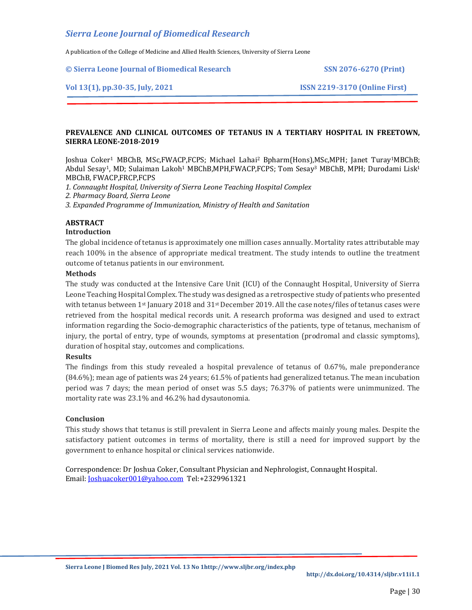A publication of the College of Medicine and Allied Health Sciences, University of Sierra Leone

**© Sierra Leone Journal of Biomedical Research SSN 2076-6270 (Print)**

#### **Vol 13(1), pp.30-35, July, 2021 ISSN 2219-3170 (Online First)**

## **PREVALENCE AND CLINICAL OUTCOMES OF TETANUS IN A TERTIARY HOSPITAL IN FREETOWN, SIERRA LEONE-2018-2019**

Joshua Coker<sup>1</sup> MBChB, MSc,FWACP,FCPS; Michael Lahai<sup>2</sup> Bpharm(Hons),MSc,MPH; Janet Turay1MBChB; Abdul Sesay<sup>1</sup>, MD; Sulaiman Lakoh<sup>1</sup> MBChB,MPH,FWACP,FCPS; Tom Sesay<sup>3</sup> MBChB, MPH; Durodami Lisk<sup>1</sup> MBChB, FWACP,FRCP,FCPS

*1. Connaught Hospital, University of Sierra Leone Teaching Hospital Complex*

*2. Pharmacy Board, Sierra Leone*

*3. Expanded Programme of Immunization, Ministry of Health and Sanitation*

## **ABSTRACT**

#### **Introduction**

The global incidence of tetanus is approximately one million cases annually. Mortality rates attributable may reach 100% in the absence of appropriate medical treatment. The study intends to outline the treatment outcome of tetanus patients in our environment.

#### **Methods**

The study was conducted at the Intensive Care Unit (ICU) of the Connaught Hospital, University of Sierra Leone Teaching Hospital Complex. The study was designed as a retrospective study of patients who presented with tetanus between 1<sup>st</sup> January 2018 and 31<sup>st</sup> December 2019. All the case notes/files of tetanus cases were retrieved from the hospital medical records unit. A research proforma was designed and used to extract information regarding the Socio-demographic characteristics of the patients, type of tetanus, mechanism of injury, the portal of entry, type of wounds, symptoms at presentation (prodromal and classic symptoms), duration of hospital stay, outcomes and complications.

## **Results**

The findings from this study revealed a hospital prevalence of tetanus of 0.67%, male preponderance (84.6%); mean age of patients was 24 years; 61.5% of patients had generalized tetanus. The mean incubation period was 7 days; the mean period of onset was 5.5 days; 76.37% of patients were unimmunized. The mortality rate was 23.1% and 46.2% had dysautonomia.

## **Conclusion**

This study shows that tetanus is still prevalent in Sierra Leone and affects mainly young males. Despite the satisfactory patient outcomes in terms of mortality, there is still a need for improved support by the government to enhance hospital or clinical services nationwide.

Correspondence: Dr Joshua Coker, Consultant Physician and Nephrologist, Connaught Hospital. Email[: Joshuacoker001@yahoo.com](mailto:Joshuacoker001@yahoo.com) Tel:+2329961321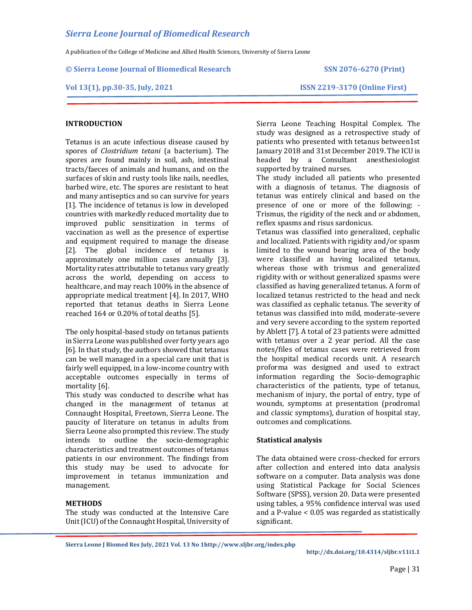A publication of the College of Medicine and Allied Health Sciences, University of Sierra Leone

#### **© Sierra Leone Journal of Biomedical Research SSN 2076-6270 (Print)**

## **Vol 13(1), pp.30-35, July, 2021 ISSN 2219-3170 (Online First)**

## **INTRODUCTION**

Tetanus is an acute infectious disease caused by spores of *Clostridium tetani* (a bacterium). The spores are found mainly in soil, ash, intestinal tracts/faeces of animals and humans, and on the surfaces of skin and rusty tools like nails, needles, barbed wire, etc. The spores are resistant to heat and many antiseptics and so can survive for years [1]. The incidence of tetanus is low in developed countries with markedly reduced mortality due to improved public sensitization in terms of vaccination as well as the presence of expertise and equipment required to manage the disease [2]. The global incidence of tetanus is approximately one million cases annually [3]. Mortality rates attributable to tetanus vary greatly across the world, depending on access to healthcare, and may reach 100% in the absence of appropriate medical treatment [4]. In 2017, WHO reported that tetanus deaths in Sierra Leone reached 164 or 0.20% of total deaths [5].

The only hospital-based study on tetanus patients in Sierra Leone was published over forty years ago [6]. In that study, the authors showed that tetanus can be well managed in a special care unit that is fairly well equipped, in a low-income country with acceptable outcomes especially in terms of mortality [6].

This study was conducted to describe what has changed in the management of tetanus at Connaught Hospital, Freetown, Sierra Leone. The paucity of literature on tetanus in adults from Sierra Leone also prompted this review. The study intends to outline the socio-demographic characteristics and treatment outcomes of tetanus patients in our environment. The findings from this study may be used to advocate for improvement in tetanus immunization and management.

#### **METHODS**

The study was conducted at the Intensive Care Unit (ICU) of the Connaught Hospital, University of Sierra Leone Teaching Hospital Complex. The study was designed as a retrospective study of patients who presented with tetanus between1st January 2018 and 31st December 2019. The ICU is headed by a Consultant anesthesiologist supported by trained nurses.

The study included all patients who presented with a diagnosis of tetanus. The diagnosis of tetanus was entirely clinical and based on the presence of one or more of the following: - Trismus, the rigidity of the neck and or abdomen, reflex spasms and risus sardonicus.

Tetanus was classified into generalized, cephalic and localized. Patients with rigidity and/or spasm limited to the wound bearing area of the body were classified as having localized tetanus, whereas those with trismus and generalized rigidity with or without generalized spasms were classified as having generalized tetanus. A form of localized tetanus restricted to the head and neck was classified as cephalic tetanus. The severity of tetanus was classified into mild, moderate-severe and very severe according to the system reported by Ablett [7]. A total of 23 patients were admitted with tetanus over a 2 year period. All the case notes/files of tetanus cases were retrieved from the hospital medical records unit. A research proforma was designed and used to extract information regarding the Socio-demographic characteristics of the patients, type of tetanus, mechanism of injury, the portal of entry, type of wounds, symptoms at presentation (prodromal and classic symptoms), duration of hospital stay, outcomes and complications.

## **Statistical analysis**

The data obtained were cross-checked for errors after collection and entered into data analysis software on a computer. Data analysis was done using Statistical Package for Social Sciences Software (SPSS), version 20. Data were presented using tables, a 95% confidence interval was used and a P-value < 0.05 was regarded as statistically significant.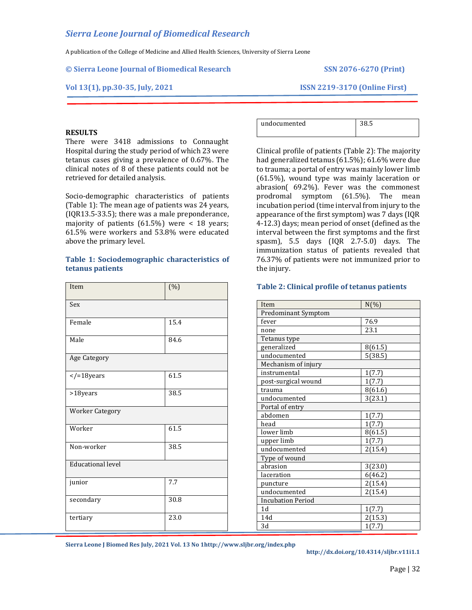A publication of the College of Medicine and Allied Health Sciences, University of Sierra Leone

#### **© Sierra Leone Journal of Biomedical Research SSN 2076-6270 (Print)**

#### **Vol 13(1), pp.30-35, July, 2021 ISSN 2219-3170 (Online First)**

#### **RESULTS**

There were 3418 admissions to Connaught Hospital during the study period of which 23 were tetanus cases giving a prevalence of 0.67%. The clinical notes of 8 of these patients could not be retrieved for detailed analysis.

Socio-demographic characteristics of patients (Table 1): The mean age of patients was 24 years, (IQR13.5-33.5); there was a male preponderance, majority of patients  $(61.5%)$  were < 18 years; 61.5% were workers and 53.8% were educated above the primary level.

#### **Table 1: Sociodemographic characteristics of tetanus patients**

| Item                     | (%)  |  |
|--------------------------|------|--|
| Sex                      |      |  |
| Female                   | 15.4 |  |
| Male                     | 84.6 |  |
| Age Category             |      |  |
| $<$ /=18years            | 61.5 |  |
| >18years                 | 38.5 |  |
| <b>Worker Category</b>   |      |  |
| Worker                   | 61.5 |  |
| Non-worker               | 38.5 |  |
| <b>Educational level</b> |      |  |
| junior                   | 7.7  |  |
| secondary                | 30.8 |  |
| tertiary                 | 23.0 |  |

| undocumented | ں …اب |
|--------------|-------|
|              |       |

Clinical profile of patients (Table 2): The majority had generalized tetanus (61.5%); 61.6% were due to trauma; a portal of entry was mainly lower limb (61.5%), wound type was mainly laceration or abrasion( 69.2%). Fever was the commonest prodromal symptom (61.5%). The mean incubation period (time interval from injury to the appearance of the first symptom) was 7 days (IQR 4-12.3) days; mean period of onset (defined as the interval between the first symptoms and the first spasm), 5.5 days  $(IQR \ 2.7-5.0)$  days. The immunization status of patients revealed that 76.37% of patients were not immunized prior to the injury.

#### **Table 2: Clinical profile of tetanus patients**

| Item                     | $N(\% )$ |  |
|--------------------------|----------|--|
| Predominant Symptom      |          |  |
| fever                    | 76.9     |  |
| none                     | 23.1     |  |
| Tetanus type             |          |  |
| generalized              | 8(61.5)  |  |
| undocumented             | 5(38.5)  |  |
| Mechanism of injury      |          |  |
| instrumental             | 1(7.7)   |  |
| post-surgical wound      | 1(7.7)   |  |
| trauma                   | 8(61.6)  |  |
| undocumented             | 3(23.1)  |  |
| Portal of entry          |          |  |
| abdomen                  | 1(7.7)   |  |
| head                     | 1(7.7)   |  |
| lower limb               | 8(61.5)  |  |
| upper limb               | 1(7.7)   |  |
| undocumented             | 2(15.4)  |  |
| Type of wound            |          |  |
| abrasion                 | 3(23.0)  |  |
| laceration               | 6(46.2)  |  |
| puncture                 | 2(15.4)  |  |
| undocumented             | 2(15.4)  |  |
| <b>Incubation Period</b> |          |  |
| 1d                       | 1(7.7)   |  |
| 14d                      | 2(15.3)  |  |
| 3d                       | 1(7.7)   |  |

**Sierra Leone J Biomed Res July, 2021 Vol. 13 No [1http://www.sljbr.org/index.php](http://www.sljbr.org/index.php)**

**http://dx.doi.org/10.4314/sljbr.v11i1.1**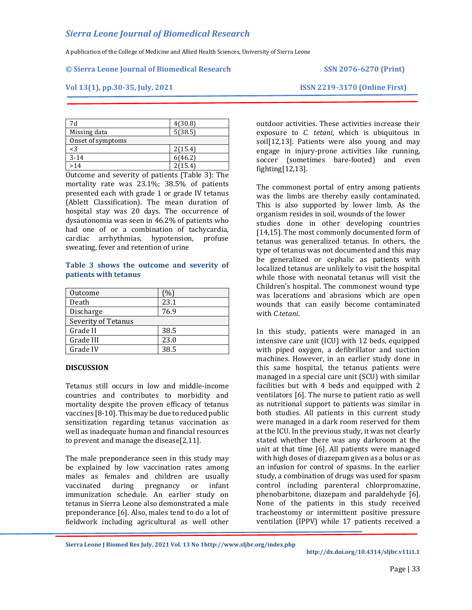A publication of the College of Medicine and Allied Health Sciences, University of Sierra Leone

#### **© Sierra Leone Journal of Biomedical Research SSN 2076-6270 (Print)**

#### **Vol 13(1), pp.30-35, July, 2021 ISSN 2219-3170 (Online First)**

| 7d                | 4(30.8) |
|-------------------|---------|
| Missing data      | 5(38.5) |
| Onset of symptoms |         |
| $<$ 3             | 2(15.4) |
| $3 - 14$          | 6(46.2) |
| >14               | 2(15.4) |

Outcome and severity of patients (Table 3): The mortality rate was 23.1%; 38.5% of patients presented each with grade 1 or grade IV tetanus (Ablett Classification). The mean duration of hospital stay was 20 days. The occurrence of dysautonomia was seen in 46.2% of patients who had one of or a combination of tachycardia, cardiac arrhythmias, hypotension, profuse sweating, fever and retention of urine

#### **Table 3 shows the outcome and severity of patients with tetanus**

| Outcome             | (%)  |
|---------------------|------|
| Death               | 23.1 |
| Discharge           | 76.9 |
| Severity of Tetanus |      |
| Grade II            | 38.5 |
| Grade III           | 23.0 |
| Grade IV            | 385  |

#### **DISCUSSION**

Tetanus still occurs in low and middle-income countries and contributes to morbidity and mortality despite the proven efficacy of tetanus vaccines [8-10]. This may be due to reduced public sensitization regarding tetanus vaccination as well as inadequate human and financial resources to prevent and manage the disease[2,11].

The male preponderance seen in this study may be explained by low vaccination rates among males as females and children are usually vaccinated during pregnancy or infant immunization schedule. An earlier study on tetanus in Sierra Leone also demonstrated a male preponderance [6]. Also, males tend to do a lot of fieldwork including agricultural as well other

outdoor activities. These activities increase their exposure to *C. tetani*, which is ubiquitous in soil[12,13]. Patients were also young and may engage in injury-prone activities like running, soccer (sometimes bare-footed) and even fighting[12,13].

The commonest portal of entry among patients was the limbs are thereby easily contaminated. This is also supported by lower limb. As the organism resides in soil, wounds of the lower studies done in other developing countries [14,15]. The most commonly documented form of tetanus was generalized tetanus. In others, the type of tetanus was not documented and this may be generalized or cephalic as patients with localized tetanus are unlikely to visit the hospital while those with neonatal tetanus will visit the Children's hospital. The commonest wound type was lacerations and abrasions which are open wounds that can easily become contaminated with *C.tetani*.

In this study, patients were managed in an intensive care unit (ICU) with 12 beds, equipped with piped oxygen, a defibrillator and suction machines. However, in an earlier study done in this same hospital, the tetanus patients were managed in a special care unit (SCU) with similar facilities but with 4 beds and equipped with 2 ventilators [6]. The nurse to patient ratio as well as nutritional support to patients was similar in both studies. All patients in this current study were managed in a dark room reserved for them at the ICU. In the previous study, it was not clearly stated whether there was any darkroom at the unit at that time [6]. All patients were managed with high doses of diazepam given as a bolus or as an infusion for control of spasms. In the earlier study, a combination of drugs was used for spasm control including parenteral chlorpromazine, phenobarbitone, diazepam and paraldehyde [6]. None of the patients in this study received tracheostomy or intermittent positive pressure ventilation (IPPV) while 17 patients received a

**Sierra Leone J Biomed Res July, 2021 Vol. 13 No [1http://www.sljbr.org/index.php](http://www.sljbr.org/index.php)**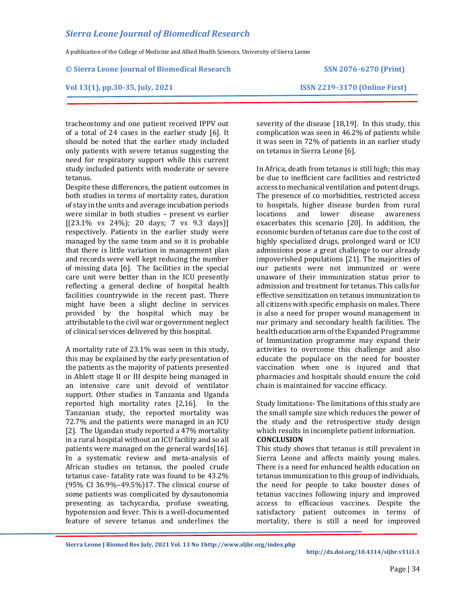A publication of the College of Medicine and Allied Health Sciences, University of Sierra Leone

#### **© Sierra Leone Journal of Biomedical Research SSN 2076-6270 (Print)**

#### **Vol 13(1), pp.30-35, July, 2021 ISSN 2219-3170 (Online First)**

tracheostomy and one patient received IPPV out of a total of 24 cases in the earlier study [6]. It should be noted that the earlier study included only patients with severe tetanus suggesting the need for respiratory support while this current study included patients with moderate or severe tetanus.

Despite these differences, the patient outcomes in both studies in terms of mortality rates, duration of stay in the units and average incubation periods were similar in both studies – present vs earlier  $[(23.1\% \text{ vs } 24\%); 20 \text{ days}; 7 \text{ vs } 9.3 \text{ days})]$ respectively. Patients in the earlier study were managed by the same team and so it is probable that there is little variation in management plan and records were well kept reducing the number of missing data [6]. The facilities in the special care unit were better than in the ICU presently reflecting a general decline of hospital health facilities countrywide in the recent past. There might have been a slight decline in services provided by the hospital which may be attributable to the civil war or government neglect of clinical services delivered by this hospital.

A mortality rate of 23.1% was seen in this study, this may be explained by the early presentation of the patients as the majority of patients presented in Ablett stage II or III despite being managed in an intensive care unit devoid of ventilator support. Other studies in Tanzania and Uganda reported high mortality rates [2,16]. In the Tanzanian study, the reported mortality was 72.7% and the patients were managed in an ICU [2]. The Ugandan study reported a 47% mortality in a rural hospital without an ICU facility and so all patients were managed on the general wards[16]. In a systematic review and meta-analysis of African studies on tetanus, the pooled crude tetanus case- fatality rate was found to be 43.2% (95% CI 36.9%–49.5%)17. The clinical course of some patients was complicated by dysautonomia presenting as tachycardia, profuse sweating, hypotension and fever. This is a well-documented feature of severe tetanus and underlines the

severity of the disease [18,19]. In this study, this complication was seen in 46.2% of patients while it was seen in 72% of patients in an earlier study on tetanus in Sierra Leone [6].

In Africa, death from tetanus is still high; this may be due to inefficient care facilities and restricted access to mechanical ventilation and potent drugs. The presence of co morbidities, restricted access to hospitals, higher disease burden from rural locations and lower disease awareness exacerbates this scenario [20]. In addition, the economic burden of tetanus care due to the cost of highly specialized drugs, prolonged ward or ICU admissions pose a great challenge to our already impoverished populations [21]. The majorities of our patients were not immunized or were unaware of their immunization status prior to admission and treatment for tetanus. This calls for effective sensitization on tetanus immunization to all citizens with specific emphasis on males. There is also a need for proper wound management in our primary and secondary health facilities. The health education arm of the Expanded Programme of Immunization programme may expand their activities to overcome this challenge and also educate the populace on the need for booster vaccination when one is injured and that pharmacies and hospitals should ensure the cold chain is maintained for vaccine efficacy.

Study limitations- The limitations of this study are the small sample size which reduces the power of the study and the retrospective study design which results in incomplete patient information. **CONCLUSION**

This study shows that tetanus is still prevalent in Sierra Leone and affects mainly young males. There is a need for enhanced health education on tetanus immunization to this group of individuals, the need for people to take booster doses of tetanus vaccines following injury and improved access to efficacious vaccines. Despite the satisfactory patient outcomes in terms of mortality, there is still a need for improved